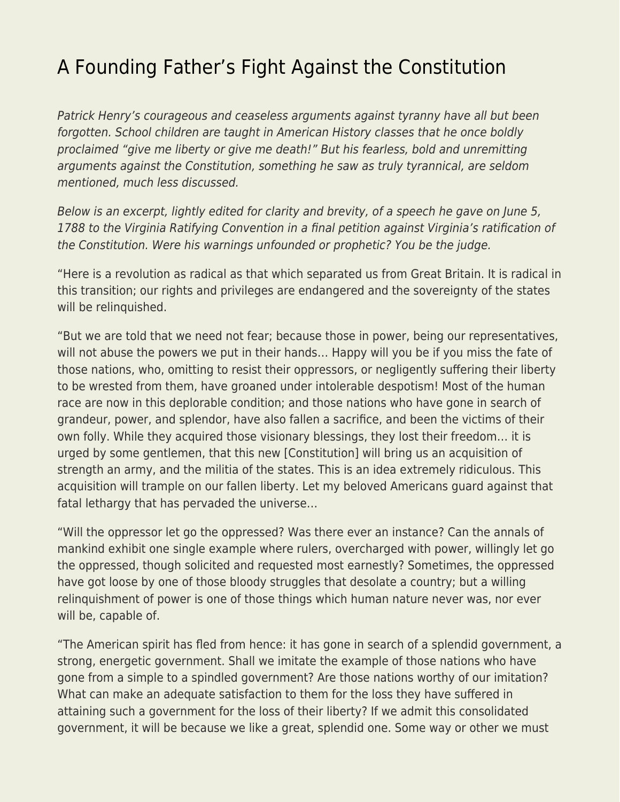## [A Founding Father's Fight Against the Constitution](https://everything-voluntary.com/a-founding-fathers-fight-against-the-constitution)

Patrick Henry's courageous and ceaseless arguments against tyranny have all but been forgotten. School children are taught in American History classes that he once boldly proclaimed "give me liberty or give me death!" But his fearless, bold and unremitting arguments against the Constitution, something he saw as truly tyrannical, are seldom mentioned, much less discussed.

Below is an excerpt, lightly edited for clarity and brevity, of a speech he gave on June 5, 1788 to the Virginia Ratifying Convention in a final petition against Virginia's ratification of the Constitution. Were his warnings unfounded or prophetic? You be the judge.

"Here is a revolution as radical as that which separated us from Great Britain. It is radical in this transition; our rights and privileges are endangered and the sovereignty of the states will be relinquished.

"But we are told that we need not fear; because those in power, being our representatives, will not abuse the powers we put in their hands… Happy will you be if you miss the fate of those nations, who, omitting to resist their oppressors, or negligently suffering their liberty to be wrested from them, have groaned under intolerable despotism! Most of the human race are now in this deplorable condition; and those nations who have gone in search of grandeur, power, and splendor, have also fallen a sacrifice, and been the victims of their own folly. While they acquired those visionary blessings, they lost their freedom… it is urged by some gentlemen, that this new [Constitution] will bring us an acquisition of strength an army, and the militia of the states. This is an idea extremely ridiculous. This acquisition will trample on our fallen liberty. Let my beloved Americans guard against that fatal lethargy that has pervaded the universe…

"Will the oppressor let go the oppressed? Was there ever an instance? Can the annals of mankind exhibit one single example where rulers, overcharged with power, willingly let go the oppressed, though solicited and requested most earnestly? Sometimes, the oppressed have got loose by one of those bloody struggles that desolate a country; but a willing relinquishment of power is one of those things which human nature never was, nor ever will be, capable of.

"The American spirit has fled from hence: it has gone in search of a splendid government, a strong, energetic government. Shall we imitate the example of those nations who have gone from a simple to a spindled government? Are those nations worthy of our imitation? What can make an adequate satisfaction to them for the loss they have suffered in attaining such a government for the loss of their liberty? If we admit this consolidated government, it will be because we like a great, splendid one. Some way or other we must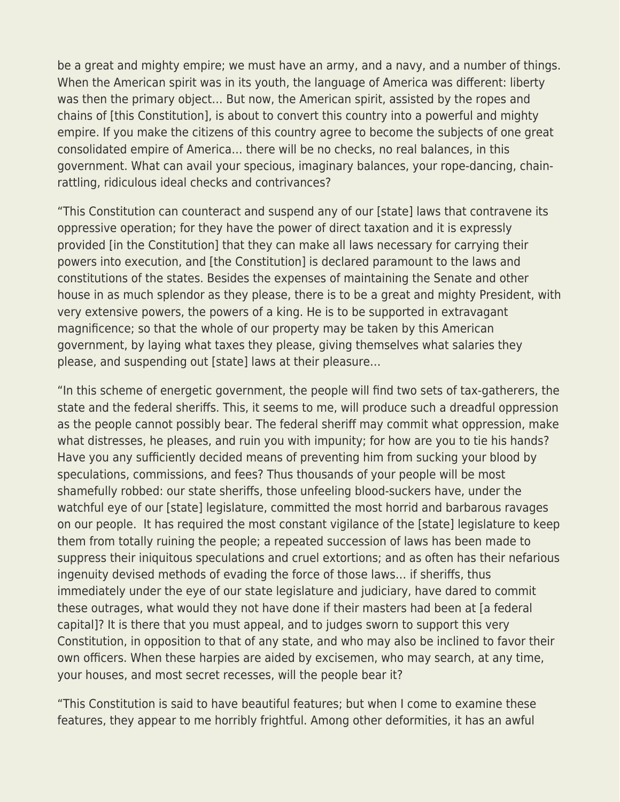be a great and mighty empire; we must have an army, and a navy, and a number of things. When the American spirit was in its youth, the language of America was different: liberty was then the primary object… But now, the American spirit, assisted by the ropes and chains of [this Constitution], is about to convert this country into a powerful and mighty empire. If you make the citizens of this country agree to become the subjects of one great consolidated empire of America… there will be no checks, no real balances, in this government. What can avail your specious, imaginary balances, your rope-dancing, chainrattling, ridiculous ideal checks and contrivances?

"This Constitution can counteract and suspend any of our [state] laws that contravene its oppressive operation; for they have the power of direct taxation and it is expressly provided [in the Constitution] that they can make all laws necessary for carrying their powers into execution, and [the Constitution] is declared paramount to the laws and constitutions of the states. Besides the expenses of maintaining the Senate and other house in as much splendor as they please, there is to be a great and mighty President, with very extensive powers, the powers of a king. He is to be supported in extravagant magnificence; so that the whole of our property may be taken by this American government, by laying what taxes they please, giving themselves what salaries they please, and suspending out [state] laws at their pleasure…

"In this scheme of energetic government, the people will find two sets of tax-gatherers, the state and the federal sheriffs. This, it seems to me, will produce such a dreadful oppression as the people cannot possibly bear. The federal sheriff may commit what oppression, make what distresses, he pleases, and ruin you with impunity; for how are you to tie his hands? Have you any sufficiently decided means of preventing him from sucking your blood by speculations, commissions, and fees? Thus thousands of your people will be most shamefully robbed: our state sheriffs, those unfeeling blood-suckers have, under the watchful eye of our [state] legislature, committed the most horrid and barbarous ravages on our people. It has required the most constant vigilance of the [state] legislature to keep them from totally ruining the people; a repeated succession of laws has been made to suppress their iniquitous speculations and cruel extortions; and as often has their nefarious ingenuity devised methods of evading the force of those laws… if sheriffs, thus immediately under the eye of our state legislature and judiciary, have dared to commit these outrages, what would they not have done if their masters had been at [a federal capital]? It is there that you must appeal, and to judges sworn to support this very Constitution, in opposition to that of any state, and who may also be inclined to favor their own officers. When these harpies are aided by excisemen, who may search, at any time, your houses, and most secret recesses, will the people bear it?

"This Constitution is said to have beautiful features; but when I come to examine these features, they appear to me horribly frightful. Among other deformities, it has an awful